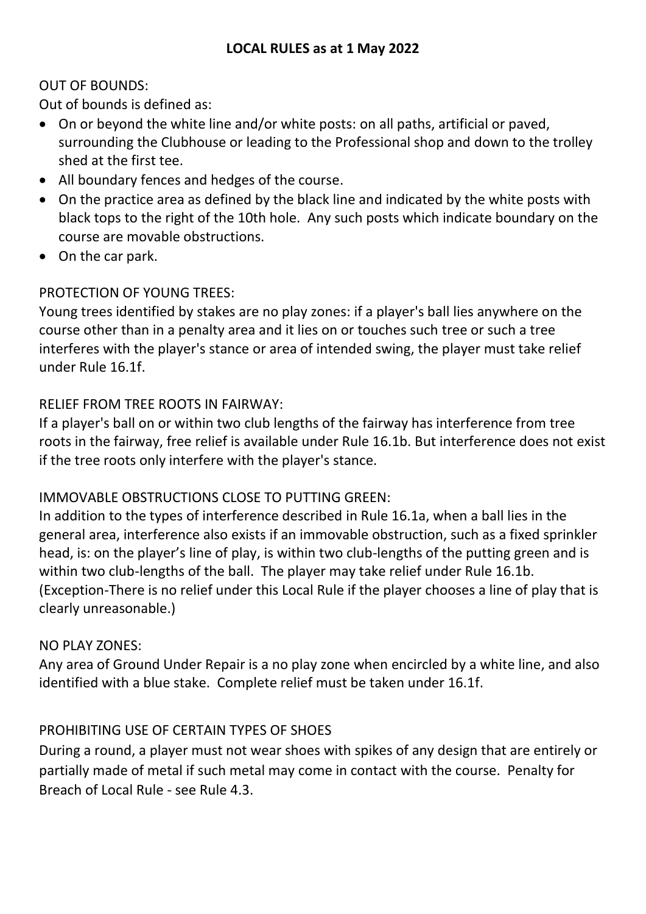## OUT OF BOUNDS:

Out of bounds is defined as:

- On or beyond the white line and/or white posts: on all paths, artificial or paved, surrounding the Clubhouse or leading to the Professional shop and down to the trolley shed at the first tee.
- All boundary fences and hedges of the course.
- On the practice area as defined by the black line and indicated by the white posts with black tops to the right of the 10th hole. Any such posts which indicate boundary on the course are movable obstructions.
- On the car park.

# PROTECTION OF YOUNG TREES:

Young trees identified by stakes are no play zones: if a player's ball lies anywhere on the course other than in a penalty area and it lies on or touches such tree or such a tree interferes with the player's stance or area of intended swing, the player must take relief under Rule 16.1f.

## RELIEF FROM TREE ROOTS IN FAIRWAY:

If a player's ball on or within two club lengths of the fairway has interference from tree roots in the fairway, free relief is available under Rule 16.1b. But interference does not exist if the tree roots only interfere with the player's stance.

## IMMOVABLE OBSTRUCTIONS CLOSE TO PUTTING GREEN:

In addition to the types of interference described in Rule 16.1a, when a ball lies in the general area, interference also exists if an immovable obstruction, such as a fixed sprinkler head, is: on the player's line of play, is within two club-lengths of the putting green and is within two club-lengths of the ball. The player may take relief under Rule 16.1b. (Exception-There is no relief under this Local Rule if the player chooses a line of play that is clearly unreasonable.)

## NO PLAY ZONES:

Any area of Ground Under Repair is a no play zone when encircled by a white line, and also identified with a blue stake. Complete relief must be taken under 16.1f.

## PROHIBITING USE OF CERTAIN TYPES OF SHOES

During a round, a player must not wear shoes with spikes of any design that are entirely or partially made of metal if such metal may come in contact with the course. Penalty for Breach of Local Rule - see Rule 4.3.